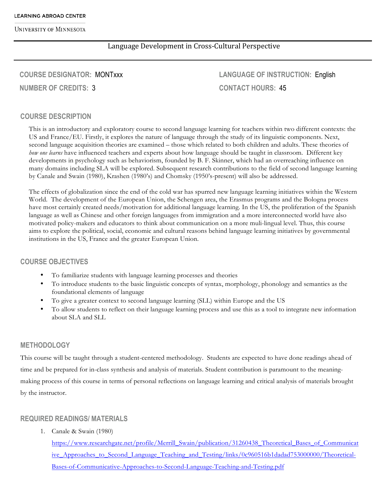# Language Development in Cross-Cultural Perspective

# **COURSE DESIGNATOR:** MONTxxx **NUMBER OF CREDITS:** 3

**LANGUAGE OF INSTRUCTION:** English **CONTACT HOURS:** 45

#### **COURSE DESCRIPTION**

This is an introductory and exploratory course to second language learning for teachers within two different contexts: the US and France/EU. Firstly, it explores the nature of language through the study of its linguistic components. Next, second language acquisition theories are examined – those which related to both children and adults. These theories of *how one learns* have influenced teachers and experts about how language should be taught in classroom. Different key developments in psychology such as behaviorism, founded by B. F. Skinner, which had an overreaching influence on many domains including SLA will be explored. Subsequent research contributions to the field of second language learning by Canale and Swain (1980), Krashen (1980's) and Chomsky (1950's-present) will also be addressed.

The effects of globalization since the end of the cold war has spurred new language learning initiatives within the Western World. The development of the European Union, the Schengen area, the Erasmus programs and the Bologna process have most certainly created needs/motivation for additional language learning. In the US, the proliferation of the Spanish language as well as Chinese and other foreign languages from immigration and a more interconnected world have also motivated policy-makers and educators to think about communication on a more muli-lingual level. Thus, this course aims to explore the political, social, economic and cultural reasons behind language learning initiatives by governmental institutions in the US, France and the greater European Union.

#### **COURSE OBJECTIVES**

- To familiarize students with language learning processes and theories
- To introduce students to the basic linguistic concepts of syntax, morphology, phonology and semantics as the foundational elements of language
- To give a greater context to second language learning (SLL) within Europe and the US
- To allow students to reflect on their language learning process and use this as a tool to integrate new information about SLA and SLL

#### **METHODOLOGY**

This course will be taught through a student-centered methodology. Students are expected to have done readings ahead of time and be prepared for in-class synthesis and analysis of materials. Student contribution is paramount to the meaningmaking process of this course in terms of personal reflections on language learning and critical analysis of materials brought by the instructor.

### **REQUIRED READINGS/ MATERIALS**

1. Canale & Swain (1980)

https://www.researchgate.net/profile/Merrill\_Swain/publication/31260438\_Theoretical\_Bases\_of\_Communicat ive\_Approaches\_to\_Second\_Language\_Teaching\_and\_Testing/links/0c960516b1dadad753000000/Theoretical-Bases-of-Communicative-Approaches-to-Second-Language-Teaching-and-Testing.pdf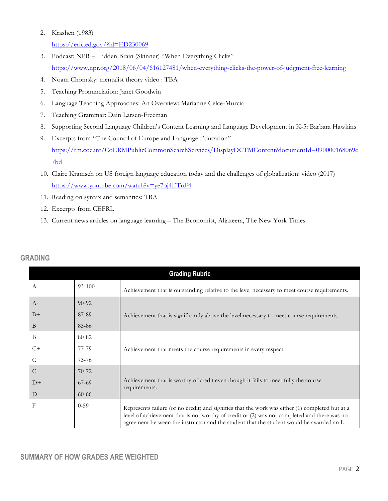#### 2. Krashen (1983)

https://eric.ed.gov/?id=ED230069

- 3. Podcast: NPR Hidden Brain (Skinner) "When Everything Clicks" https://www.npr.org/2018/06/04/616127481/when-everything-clicks-the-power-of-judgment-free-learning
- 4. Noam Chomsky: mentalist theory video : TBA
- 5. Teaching Pronunciation: Janet Goodwin
- 6. Language Teaching Approaches: An Overview: Marianne Celce-Murcia
- 7. Teaching Grammar: Dain Larsen-Freeman
- 8. Supporting Second Language Children's Content Learning and Language Development in K-5: Barbara Hawkins
- 9. Excerpts from "The Council of Europe and Language Education" https://rm.coe.int/CoERMPublicCommonSearchServices/DisplayDCTMContent?documentId=090000168069e 7bd
- 10. Claire Kramsch on US foreign language education today and the challenges of globalization: video (2017) https://www.youtube.com/watch?v=ye7oj4ETuF4
- 11. Reading on syntax and semantics: TBA
- 12. Excerpts from CEFRL
- 13. Current news articles on language learning The Economist, Aljazeera, The New York Times

| <b>Grading Rubric</b> |           |                                                                                                                                                                                                                                                                                            |  |
|-----------------------|-----------|--------------------------------------------------------------------------------------------------------------------------------------------------------------------------------------------------------------------------------------------------------------------------------------------|--|
| A                     | 93-100    | Achievement that is outstanding relative to the level necessary to meet course requirements.                                                                                                                                                                                               |  |
| $A-$                  | $90 - 92$ |                                                                                                                                                                                                                                                                                            |  |
| $B+$                  | 87-89     | Achievement that is significantly above the level necessary to meet course requirements.                                                                                                                                                                                                   |  |
| B                     | 83-86     |                                                                                                                                                                                                                                                                                            |  |
| $B-$                  | 80-82     |                                                                                                                                                                                                                                                                                            |  |
| $C+$                  | 77-79     | Achievement that meets the course requirements in every respect.                                                                                                                                                                                                                           |  |
| C                     | 73-76     |                                                                                                                                                                                                                                                                                            |  |
| $C-$                  | $70 - 72$ |                                                                                                                                                                                                                                                                                            |  |
| $D+$                  | 67-69     | Achievement that is worthy of credit even though it fails to meet fully the course<br>requirements.                                                                                                                                                                                        |  |
| D                     | $60 - 66$ |                                                                                                                                                                                                                                                                                            |  |
| $_{\rm F}$            | $0 - 59$  | Represents failure (or no credit) and signifies that the work was either (1) completed but at a<br>level of achievement that is not worthy of credit or (2) was not completed and there was no<br>agreement between the instructor and the student that the student would be awarded an I. |  |

## **GRADING**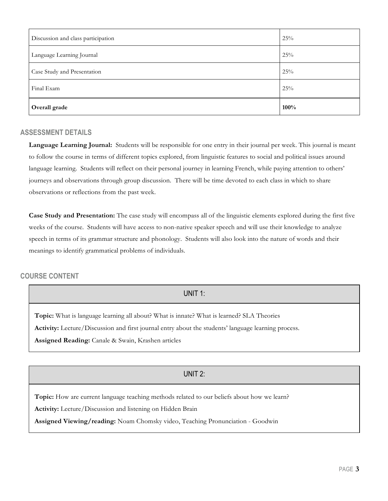| Discussion and class participation | 25%  |
|------------------------------------|------|
| Language Learning Journal          | 25%  |
| Case Study and Presentation        | 25%  |
| Final Exam                         | 25%  |
| Overall grade                      | 100% |

#### **ASSESSMENT DETAILS**

Language Learning Journal: Students will be responsible for one entry in their journal per week. This journal is meant to follow the course in terms of different topics explored, from linguistic features to social and political issues around language learning. Students will reflect on their personal journey in learning French, while paying attention to others' journeys and observations through group discussion. There will be time devoted to each class in which to share observations or reflections from the past week.

**Case Study and Presentation:** The case study will encompass all of the linguistic elements explored during the first five weeks of the course. Students will have access to non-native speaker speech and will use their knowledge to analyze speech in terms of its grammar structure and phonology. Students will also look into the nature of words and their meanings to identify grammatical problems of individuals.

### **COURSE CONTENT**

## UNIT 1:

**Topic:** What is language learning all about? What is innate? What is learned? SLA Theories **Activity:** Lecture/Discussion and first journal entry about the students' language learning process. **Assigned Reading:** Canale & Swain, Krashen articles

### UNIT 2:

**Topic:** How are current language teaching methods related to our beliefs about how we learn? **Activity:** Lecture/Discussion and listening on Hidden Brain

**Assigned Viewing/reading:** Noam Chomsky video, Teaching Pronunciation - Goodwin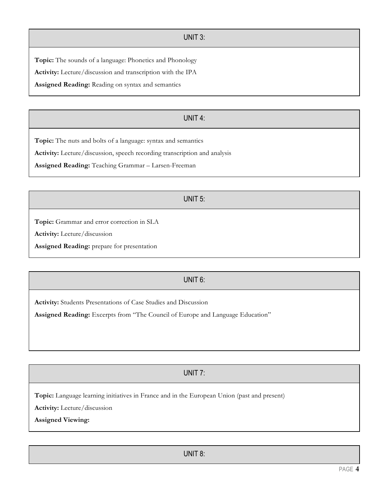### UNIT 3:

**Topic:** The sounds of a language: Phonetics and Phonology

**Activity:** Lecture/discussion and transcription with the IPA

**Assigned Reading:** Reading on syntax and semantics

# UNIT 4:

**Topic:** The nuts and bolts of a language: syntax and semantics

**Activity:** Lecture/discussion, speech recording transcription and analysis

**Assigned Reading:** Teaching Grammar – Larsen-Freeman

## UNIT 5:

**Topic:** Grammar and error correction in SLA

**Activity:** Lecture/discussion

**Assigned Reading:** prepare for presentation

# UNIT 6:

**Activity:** Students Presentations of Case Studies and Discussion

**Assigned Reading:** Excerpts from "The Council of Europe and Language Education"

# UNIT 7:

**Topic:** Language learning initiatives in France and in the European Union (past and present)

**Activity:** Lecture/discussion

**Assigned Viewing:**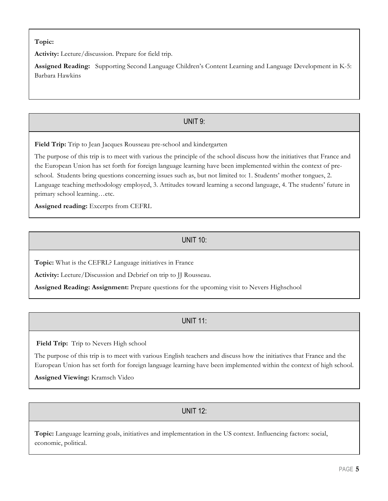## **Topic:**

**Activity:** Lecture/discussion. Prepare for field trip.

**Assigned Reading:** Supporting Second Language Children's Content Learning and Language Development in K-5: Barbara Hawkins

# UNIT 9:

**Field Trip:** Trip to Jean Jacques Rousseau pre-school and kindergarten

The purpose of this trip is to meet with various the principle of the school discuss how the initiatives that France and the European Union has set forth for foreign language learning have been implemented within the context of preschool. Students bring questions concerning issues such as, but not limited to: 1. Students' mother tongues, 2. Language teaching methodology employed, 3. Attitudes toward learning a second language, 4. The students' future in primary school learning…etc.

**Assigned reading:** Excerpts from CEFRL

# UNIT 10:

**Topic:** What is the CEFRL? Language initiatives in France

**Activity:** Lecture/Discussion and Debrief on trip to JJ Rousseau.

**Assigned Reading: Assignment:** Prepare questions for the upcoming visit to Nevers Highschool

# UNIT 11:

**Field Trip:** Trip to Nevers High school

The purpose of this trip is to meet with various English teachers and discuss how the initiatives that France and the European Union has set forth for foreign language learning have been implemented within the context of high school.

**Assigned Viewing:** Kramsch Video

UNIT 12:

**Topic:** Language learning goals, initiatives and implementation in the US context. Influencing factors: social, economic, political.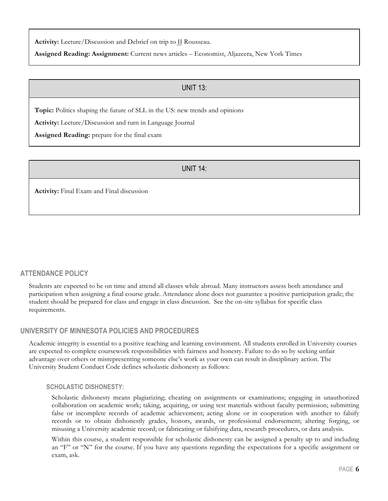**Activity:** Lecture/Discussion and Debrief on trip to JJ Rousseau.

**Assigned Reading: Assignment:** Current news articles – Economist, Aljazeera, New York Times

## UNIT 13:

**Topic:** Politics shaping the future of SLL in the US: new trends and opinions

**Activity:** Lecture/Discussion and turn in Language Journal

**Assigned Reading:** prepare for the final exam

# UNIT 14:

**Activity:** Final Exam and Final discussion

### **ATTENDANCE POLICY**

Students are expected to be on time and attend all classes while abroad. Many instructors assess both attendance and participation when assigning a final course grade. Attendance alone does not guarantee a positive participation grade; the student should be prepared for class and engage in class discussion. See the on-site syllabus for specific class requirements.

### **UNIVERSITY OF MINNESOTA POLICIES AND PROCEDURES**

Academic integrity is essential to a positive teaching and learning environment. All students enrolled in University courses are expected to complete coursework responsibilities with fairness and honesty. Failure to do so by seeking unfair advantage over others or misrepresenting someone else's work as your own can result in disciplinary action. The University Student Conduct Code defines scholastic dishonesty as follows:

#### **SCHOLASTIC DISHONESTY:**

Scholastic dishonesty means plagiarizing; cheating on assignments or examinations; engaging in unauthorized collaboration on academic work; taking, acquiring, or using test materials without faculty permission; submitting false or incomplete records of academic achievement; acting alone or in cooperation with another to falsify records or to obtain dishonestly grades, honors, awards, or professional endorsement; altering forging, or misusing a University academic record; or fabricating or falsifying data, research procedures, or data analysis.

Within this course, a student responsible for scholastic dishonesty can be assigned a penalty up to and including an "F" or "N" for the course. If you have any questions regarding the expectations for a specific assignment or exam, ask.